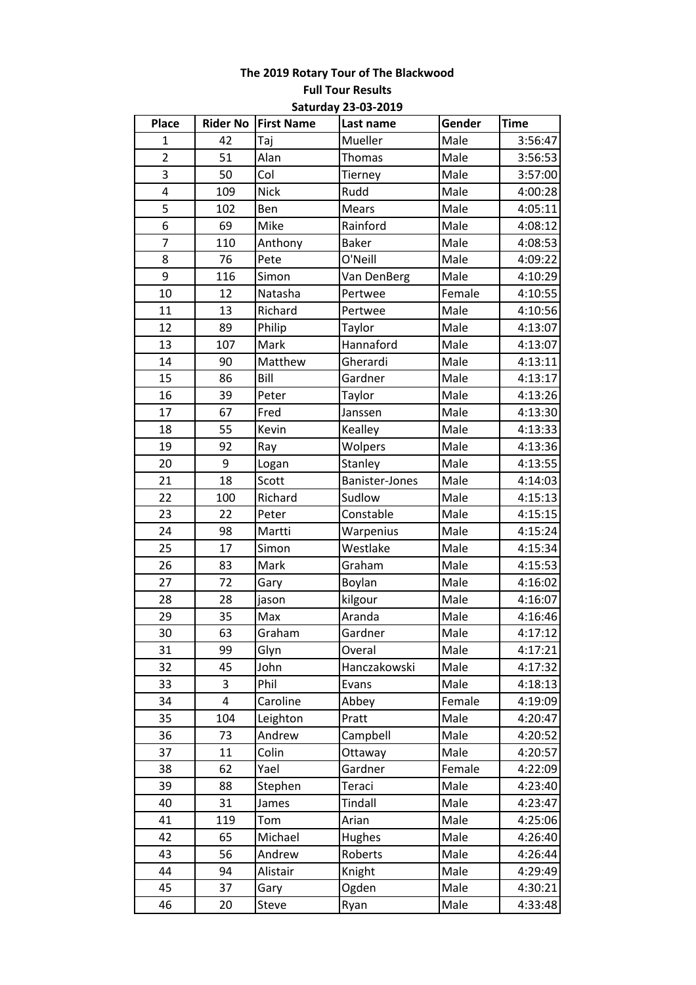# **The 2019 Rotary Tour of The Blackwood Full Tour Results Saturday 23-03-2019**

| <b>Place</b>            |     | <b>Rider No First Name</b> | Last name      | Gender | <b>Time</b> |
|-------------------------|-----|----------------------------|----------------|--------|-------------|
| $\mathbf 1$             | 42  | Taj                        | Mueller        | Male   | 3:56:47     |
| $\overline{2}$          | 51  | Alan                       | <b>Thomas</b>  | Male   | 3:56:53     |
| 3                       | 50  | Col                        | Tierney        | Male   | 3:57:00     |
| $\overline{\mathbf{4}}$ | 109 | <b>Nick</b>                | Rudd           | Male   | 4:00:28     |
| 5                       | 102 | Ben                        | Mears          | Male   | 4:05:11     |
| 6                       | 69  | Mike                       | Rainford       | Male   | 4:08:12     |
| 7                       | 110 | Anthony                    | <b>Baker</b>   | Male   | 4:08:53     |
| 8                       | 76  | Pete                       | O'Neill        | Male   | 4:09:22     |
| 9                       | 116 | Simon                      | Van DenBerg    | Male   | 4:10:29     |
| 10                      | 12  | Natasha                    | Pertwee        | Female | 4:10:55     |
| 11                      | 13  | Richard                    | Pertwee        | Male   | 4:10:56     |
| 12                      | 89  | Philip                     | Taylor         | Male   | 4:13:07     |
| 13                      | 107 | Mark                       | Hannaford      | Male   | 4:13:07     |
| 14                      | 90  | Matthew                    | Gherardi       | Male   | 4:13:11     |
| 15                      | 86  | Bill                       | Gardner        | Male   | 4:13:17     |
| 16                      | 39  | Peter                      | Taylor         | Male   | 4:13:26     |
| 17                      | 67  | Fred                       | Janssen        | Male   | 4:13:30     |
| 18                      | 55  | Kevin                      | Kealley        | Male   | 4:13:33     |
| 19                      | 92  | Ray                        | Wolpers        | Male   | 4:13:36     |
| 20                      | 9   | Logan                      | Stanley        | Male   | 4:13:55     |
| 21                      | 18  | Scott                      | Banister-Jones | Male   | 4:14:03     |
| 22                      | 100 | Richard                    | Sudlow         | Male   | 4:15:13     |
| 23                      | 22  | Peter                      | Constable      | Male   | 4:15:15     |
| 24                      | 98  | Martti                     | Warpenius      | Male   | 4:15:24     |
| 25                      | 17  | Simon                      | Westlake       | Male   | 4:15:34     |
| 26                      | 83  | Mark                       | Graham         | Male   | 4:15:53     |
| 27                      | 72  | Gary                       | Boylan         | Male   | 4:16:02     |
| 28                      | 28  | jason                      | kilgour        | Male   | 4:16:07     |
| 29                      | 35  | Max                        | Aranda         | Male   | 4:16:46     |
| 30                      | 63  | Graham                     | Gardner        | Male   | 4:17:12     |
| 31                      | 99  | Glyn                       | Overal         | Male   | 4:17:21     |
| 32                      | 45  | John                       | Hanczakowski   | Male   | 4:17:32     |
| 33                      | 3   | Phil                       | Evans          | Male   | 4:18:13     |
| 34                      | 4   | Caroline                   | Abbey          | Female | 4:19:09     |
| 35                      | 104 | Leighton                   | Pratt          | Male   | 4:20:47     |
| 36                      | 73  | Andrew                     | Campbell       | Male   | 4:20:52     |
| 37                      | 11  | Colin                      | Ottaway        | Male   | 4:20:57     |
| 38                      | 62  | Yael                       | Gardner        | Female | 4:22:09     |
| 39                      | 88  | Stephen                    | Teraci         | Male   | 4:23:40     |
| 40                      | 31  | James                      | <b>Tindall</b> | Male   | 4:23:47     |
| 41                      | 119 | Tom                        | Arian          | Male   | 4:25:06     |
| 42                      | 65  | Michael                    | Hughes         | Male   | 4:26:40     |
| 43                      | 56  | Andrew                     | Roberts        | Male   | 4:26:44     |
| 44                      | 94  | Alistair                   | Knight         | Male   | 4:29:49     |
| 45                      | 37  | Gary                       | Ogden          | Male   | 4:30:21     |
| 46                      | 20  | Steve                      | Ryan           | Male   | 4:33:48     |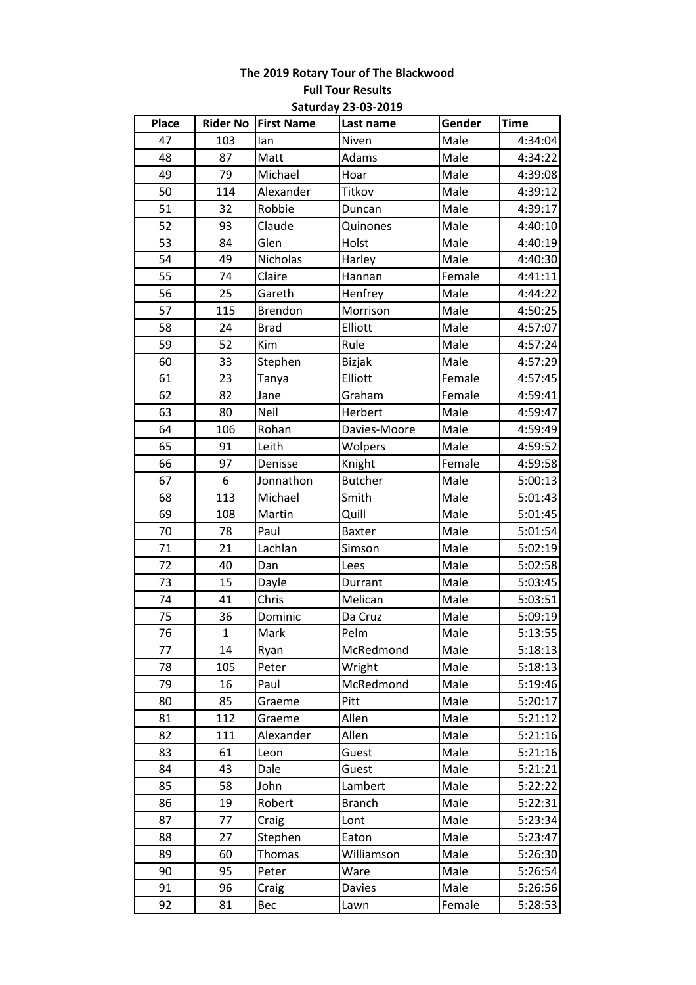# **The 2019 Rotary Tour of The Blackwood Full Tour Results Saturday 23-03-2019**

| <b>Place</b> | <b>Rider No</b> | <b>First Name</b> | Last name      | Gender | <b>Time</b> |
|--------------|-----------------|-------------------|----------------|--------|-------------|
| 47           | 103             | lan               | Niven          | Male   | 4:34:04     |
| 48           | 87              | Matt              | Adams          | Male   | 4:34:22     |
| 49           | 79              | Michael           | Hoar           | Male   | 4:39:08     |
| 50           | 114             | Alexander         | Titkov         | Male   | 4:39:12     |
| 51           | 32              | Robbie            | Duncan         | Male   | 4:39:17     |
| 52           | 93              | Claude            | Quinones       | Male   | 4:40:10     |
| 53           | 84              | Glen              | Holst          | Male   | 4:40:19     |
| 54           | 49              | Nicholas          | Harley         | Male   | 4:40:30     |
| 55           | 74              | Claire            | Hannan         | Female | 4:41:11     |
| 56           | 25              | Gareth            | Henfrey        | Male   | 4:44:22     |
| 57           | 115             | <b>Brendon</b>    | Morrison       | Male   | 4:50:25     |
| 58           | 24              | <b>Brad</b>       | Elliott        | Male   | 4:57:07     |
| 59           | 52              | Kim               | Rule           | Male   | 4:57:24     |
| 60           | 33              | Stephen           | <b>Bizjak</b>  | Male   | 4:57:29     |
| 61           | 23              | Tanya             | Elliott        | Female | 4:57:45     |
| 62           | 82              | Jane              | Graham         | Female | 4:59:41     |
| 63           | 80              | Neil              | Herbert        | Male   | 4:59:47     |
| 64           | 106             | Rohan             | Davies-Moore   | Male   | 4:59:49     |
| 65           | 91              | Leith             | Wolpers        | Male   | 4:59:52     |
| 66           | 97              | Denisse           | Knight         | Female | 4:59:58     |
| 67           | 6               | Jonnathon         | <b>Butcher</b> | Male   | 5:00:13     |
| 68           | 113             | Michael           | Smith          | Male   | 5:01:43     |
| 69           | 108             | Martin            | Quill          | Male   | 5:01:45     |
| 70           | 78              | Paul              | Baxter         | Male   | 5:01:54     |
| 71           | 21              | Lachlan           | Simson         | Male   | 5:02:19     |
| 72           | 40              | Dan               | Lees           | Male   | 5:02:58     |
| 73           | 15              | Dayle             | Durrant        | Male   | 5:03:45     |
| 74           | 41              | Chris             | Melican        | Male   | 5:03:51     |
| 75           | 36              | Dominic           | Da Cruz        | Male   | 5:09:19     |
| 76           | $\mathbf{1}$    | Mark              | Pelm           | Male   | 5:13:55     |
| 77           | 14              | Ryan              | McRedmond      | Male   | 5:18:13     |
| 78           | 105             | Peter             | Wright         | Male   | 5:18:13     |
| 79           | 16              | Paul              | McRedmond      | Male   | 5:19:46     |
| 80           | 85              | Graeme            | Pitt           | Male   | 5:20:17     |
| 81           | 112             | Graeme            | Allen          | Male   | 5:21:12     |
| 82           | 111             | Alexander         | Allen          | Male   | 5:21:16     |
| 83           | 61              | Leon              | Guest          | Male   | 5:21:16     |
| 84           | 43              | Dale              | Guest          | Male   | 5:21:21     |
| 85           | 58              | John              | Lambert        | Male   | 5:22:22     |
| 86           | 19              | Robert            | <b>Branch</b>  | Male   | 5:22:31     |
| 87           | 77              | Craig             | Lont           | Male   | 5:23:34     |
| 88           | 27              | Stephen           | Eaton          | Male   | 5:23:47     |
| 89           | 60              | Thomas            | Williamson     | Male   | 5:26:30     |
| 90           | 95              | Peter             | Ware           | Male   | 5:26:54     |
| 91           | 96              | Craig             | Davies         | Male   | 5:26:56     |
| 92           | 81              | Bec               | Lawn           | Female | 5:28:53     |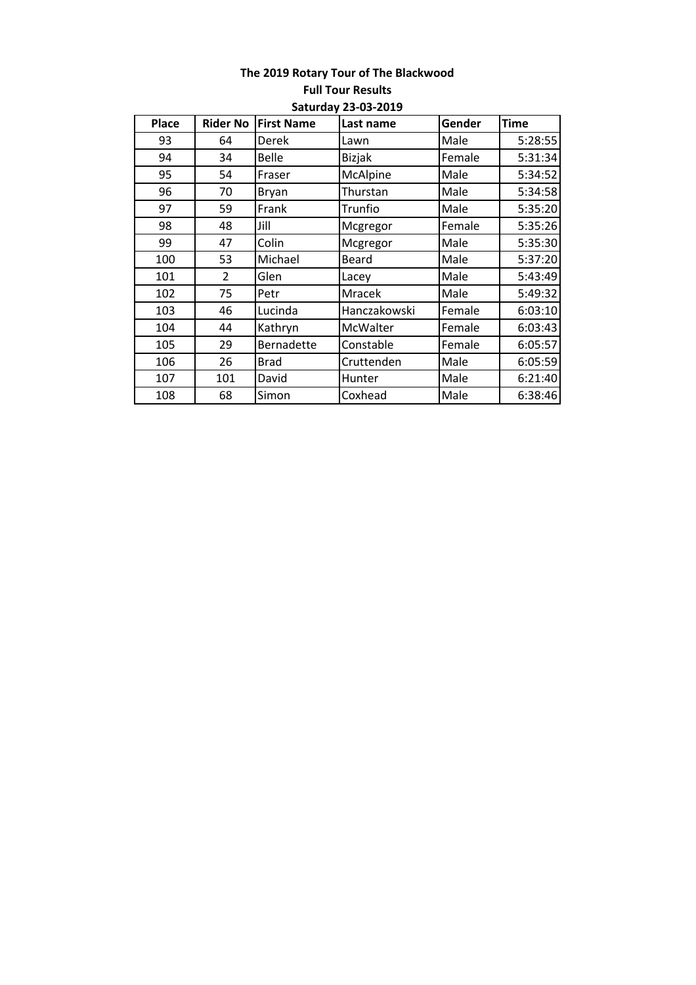### **The 2019 Rotary Tour of The Blackwood Full Tour Results Saturday 23-03-2019**

| <b>Place</b> | <b>Rider No</b> | <b>First Name</b> | Last name     | Gender | <b>Time</b> |
|--------------|-----------------|-------------------|---------------|--------|-------------|
| 93           | 64              | Derek             | Lawn          | Male   | 5:28:55     |
| 94           | 34              | <b>Belle</b>      | <b>Bizjak</b> | Female | 5:31:34     |
| 95           | 54              | Fraser            | McAlpine      | Male   | 5:34:52     |
| 96           | 70              | <b>Bryan</b>      | Thurstan      | Male   | 5:34:58     |
| 97           | 59              | Frank             | Trunfio       | Male   | 5:35:20     |
| 98           | 48              | Jill              | Mcgregor      | Female | 5:35:26     |
| 99           | 47              | Colin             | Mcgregor      | Male   | 5:35:30     |
| 100          | 53              | Michael           | Beard         | Male   | 5:37:20     |
| 101          | $\overline{2}$  | Glen              | Lacey         | Male   | 5:43:49     |
| 102          | 75              | Petr              | Mracek        | Male   | 5:49:32     |
| 103          | 46              | Lucinda           | Hanczakowski  | Female | 6:03:10     |
| 104          | 44              | Kathryn           | McWalter      | Female | 6:03:43     |
| 105          | 29              | Bernadette        | Constable     | Female | 6:05:57     |
| 106          | 26              | <b>Brad</b>       | Cruttenden    | Male   | 6:05:59     |
| 107          | 101             | David             | Hunter        | Male   | 6:21:40     |
| 108          | 68              | Simon             | Coxhead       | Male   | 6:38:46     |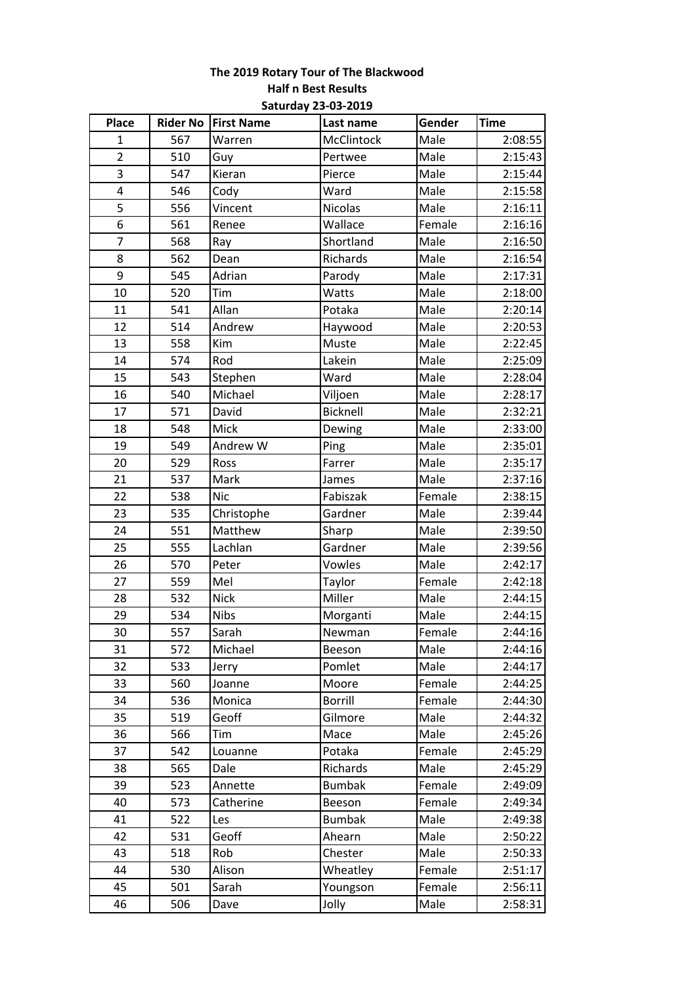# **The 2019 Rotary Tour of The Blackwood Half n Best Results Saturday 23-03-2019**

| Place                   |     | Rider No First Name | Last name       | Gender | <b>Time</b> |
|-------------------------|-----|---------------------|-----------------|--------|-------------|
| $\mathbf{1}$            | 567 | Warren              | McClintock      | Male   | 2:08:55     |
| $\overline{2}$          | 510 | Guy                 | Pertwee         | Male   | 2:15:43     |
| 3                       | 547 | Kieran              | Pierce          | Male   | 2:15:44     |
| $\overline{\mathbf{4}}$ | 546 | Cody                | Ward            | Male   | 2:15:58     |
| $\overline{\mathbf{5}}$ | 556 | Vincent             | <b>Nicolas</b>  | Male   | 2:16:11     |
| 6                       | 561 | Renee               | Wallace         | Female | 2:16:16     |
| 7                       | 568 | Ray                 | Shortland       | Male   | 2:16:50     |
| 8                       | 562 | Dean                | Richards        | Male   | 2:16:54     |
| 9                       | 545 | Adrian              | Parody          | Male   | 2:17:31     |
| 10                      | 520 | Tim                 | Watts           | Male   | 2:18:00     |
| 11                      | 541 | Allan               | Potaka          | Male   | 2:20:14     |
| 12                      | 514 | Andrew              | Haywood         | Male   | 2:20:53     |
| 13                      | 558 | Kim                 | Muste           | Male   | 2:22:45     |
| 14                      | 574 | Rod                 | Lakein          | Male   | 2:25:09     |
| 15                      | 543 | Stephen             | Ward            | Male   | 2:28:04     |
| 16                      | 540 | Michael             | Viljoen         | Male   | 2:28:17     |
| 17                      | 571 | David               | <b>Bicknell</b> | Male   | 2:32:21     |
| 18                      | 548 | Mick                | Dewing          | Male   | 2:33:00     |
| 19                      | 549 | Andrew W            | Ping            | Male   | 2:35:01     |
| 20                      | 529 | Ross                | Farrer          | Male   | 2:35:17     |
| 21                      | 537 | Mark                | James           | Male   | 2:37:16     |
| 22                      | 538 | <b>Nic</b>          | Fabiszak        | Female | 2:38:15     |
| 23                      | 535 | Christophe          | Gardner         | Male   | 2:39:44     |
| 24                      | 551 | Matthew             | Sharp           | Male   | 2:39:50     |
| 25                      | 555 | Lachlan             | Gardner         | Male   | 2:39:56     |
| 26                      | 570 | Peter               | Vowles          | Male   | 2:42:17     |
| 27                      | 559 | Mel                 | Taylor          | Female | 2:42:18     |
| 28                      | 532 | <b>Nick</b>         | Miller          | Male   | 2:44:15     |
| 29                      | 534 | Nibs                | Morganti        | Male   | 2:44:15     |
| 30                      | 557 | Sarah               | Newman          | Female | 2:44:16     |
| 31                      | 572 | Michael             | Beeson          | Male   | 2:44:16     |
| 32                      | 533 | Jerry               | Pomlet          | Male   | 2:44:17     |
| 33                      | 560 | Joanne              | Moore           | Female | 2:44:25     |
| 34                      | 536 | Monica              | <b>Borrill</b>  | Female | 2:44:30     |
| 35                      | 519 | Geoff               | Gilmore         | Male   | 2:44:32     |
| 36                      | 566 | Tim                 | Mace            | Male   | 2:45:26     |
| 37                      | 542 | Louanne             | Potaka          | Female | 2:45:29     |
| 38                      | 565 | Dale                | Richards        | Male   | 2:45:29     |
| 39                      | 523 | Annette             | <b>Bumbak</b>   | Female | 2:49:09     |
| 40                      | 573 | Catherine           | Beeson          | Female | 2:49:34     |
| 41                      | 522 | Les                 | <b>Bumbak</b>   | Male   | 2:49:38     |
| 42                      | 531 | Geoff               | Ahearn          | Male   | 2:50:22     |
| 43                      | 518 | Rob                 | Chester         | Male   | 2:50:33     |
| 44                      | 530 | Alison              | Wheatley        | Female | 2:51:17     |
| 45                      | 501 | Sarah               | Youngson        | Female | 2:56:11     |
| 46                      | 506 | Dave                | Jolly           | Male   | 2:58:31     |